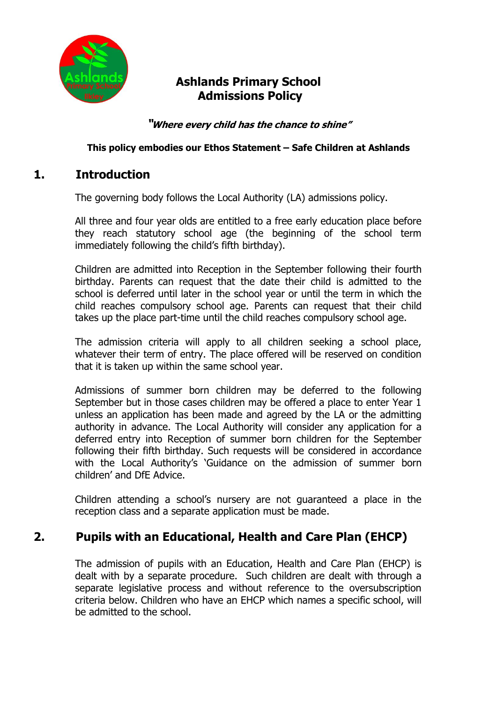

# **Ashlands Primary School Admissions Policy**

**"Where every child has the chance to shine"**

#### **This policy embodies our Ethos Statement – Safe Children at Ashlands**

## **1. Introduction**

The governing body follows the Local Authority (LA) admissions policy.

All three and four year olds are entitled to a free early education place before they reach statutory school age (the beginning of the school term immediately following the child's fifth birthday).

Children are admitted into Reception in the September following their fourth birthday. Parents can request that the date their child is admitted to the school is deferred until later in the school year or until the term in which the child reaches compulsory school age. Parents can request that their child takes up the place part-time until the child reaches compulsory school age.

The admission criteria will apply to all children seeking a school place, whatever their term of entry. The place offered will be reserved on condition that it is taken up within the same school year.

Admissions of summer born children may be deferred to the following September but in those cases children may be offered a place to enter Year 1 unless an application has been made and agreed by the LA or the admitting authority in advance. The Local Authority will consider any application for a deferred entry into Reception of summer born children for the September following their fifth birthday. Such requests will be considered in accordance with the Local Authority's 'Guidance on the admission of summer born children' and DfE Advice.

Children attending a school's nursery are not guaranteed a place in the reception class and a separate application must be made.

# **2. Pupils with an Educational, Health and Care Plan (EHCP)**

The admission of pupils with an Education, Health and Care Plan (EHCP) is dealt with by a separate procedure. Such children are dealt with through a separate legislative process and without reference to the oversubscription criteria below. Children who have an EHCP which names a specific school, will be admitted to the school.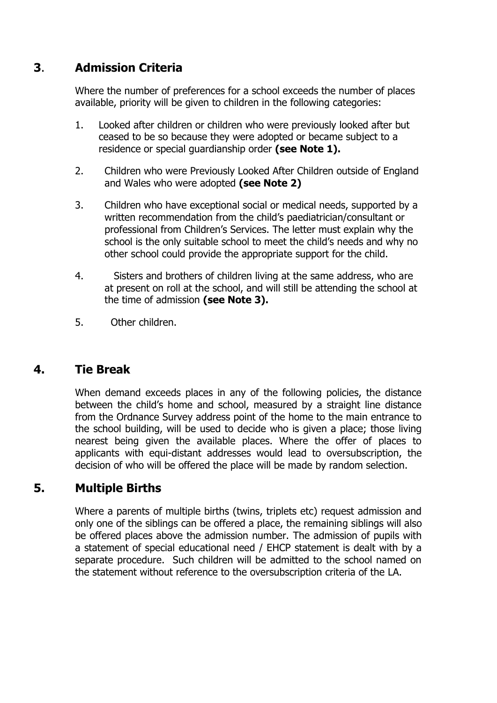# **3**. **Admission Criteria**

Where the number of preferences for a school exceeds the number of places available, priority will be given to children in the following categories:

- 1. Looked after children or children who were previously looked after but ceased to be so because they were adopted or became subject to a residence or special guardianship order **(see Note 1).**
- 2. Children who were Previously Looked After Children outside of England and Wales who were adopted **(see Note 2)**
- 3. Children who have exceptional social or medical needs, supported by a written recommendation from the child's paediatrician/consultant or professional from Children's Services. The letter must explain why the school is the only suitable school to meet the child's needs and why no other school could provide the appropriate support for the child.
- 4. Sisters and brothers of children living at the same address, who are at present on roll at the school, and will still be attending the school at the time of admission **(see Note 3).**
- 5. Other children.

## **4. Tie Break**

When demand exceeds places in any of the following policies, the distance between the child's home and school, measured by a straight line distance from the Ordnance Survey address point of the home to the main entrance to the school building, will be used to decide who is given a place; those living nearest being given the available places. Where the offer of places to applicants with equi-distant addresses would lead to oversubscription, the decision of who will be offered the place will be made by random selection.

## **5. Multiple Births**

Where a parents of multiple births (twins, triplets etc) request admission and only one of the siblings can be offered a place, the remaining siblings will also be offered places above the admission number. The admission of pupils with a statement of special educational need / EHCP statement is dealt with by a separate procedure. Such children will be admitted to the school named on the statement without reference to the oversubscription criteria of the LA.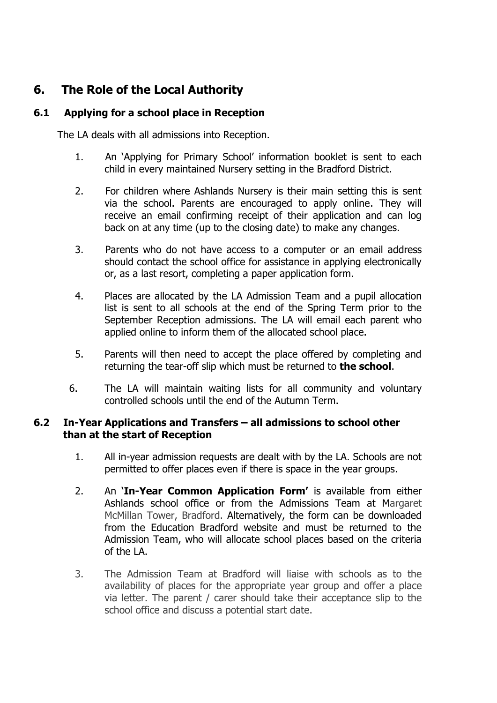# **6. The Role of the Local Authority**

### **6.1 Applying for a school place in Reception**

The LA deals with all admissions into Reception.

- 1. An 'Applying for Primary School' information booklet is sent to each child in every maintained Nursery setting in the Bradford District.
- 2. For children where Ashlands Nursery is their main setting this is sent via the school. Parents are encouraged to apply online. They will receive an email confirming receipt of their application and can log back on at any time (up to the closing date) to make any changes.
- 3. Parents who do not have access to a computer or an email address should contact the school office for assistance in applying electronically or, as a last resort, completing a paper application form.
- 4. Places are allocated by the LA Admission Team and a pupil allocation list is sent to all schools at the end of the Spring Term prior to the September Reception admissions. The LA will email each parent who applied online to inform them of the allocated school place.
- 5. Parents will then need to accept the place offered by completing and returning the tear-off slip which must be returned to **the school**.
- 6. The LA will maintain waiting lists for all community and voluntary controlled schools until the end of the Autumn Term.

#### **6.2 In-Year Applications and Transfers – all admissions to school other than at the start of Reception**

- 1. All in-year admission requests are dealt with by the LA. Schools are not permitted to offer places even if there is space in the year groups.
- 2. An '**In-Year Common Application Form'** is available from either Ashlands school office or from the Admissions Team at Margaret McMillan Tower, Bradford. Alternatively, the form can be downloaded from the Education Bradford website and must be returned to the Admission Team, who will allocate school places based on the criteria of the LA.
- 3. The Admission Team at Bradford will liaise with schools as to the availability of places for the appropriate year group and offer a place via letter. The parent / carer should take their acceptance slip to the school office and discuss a potential start date.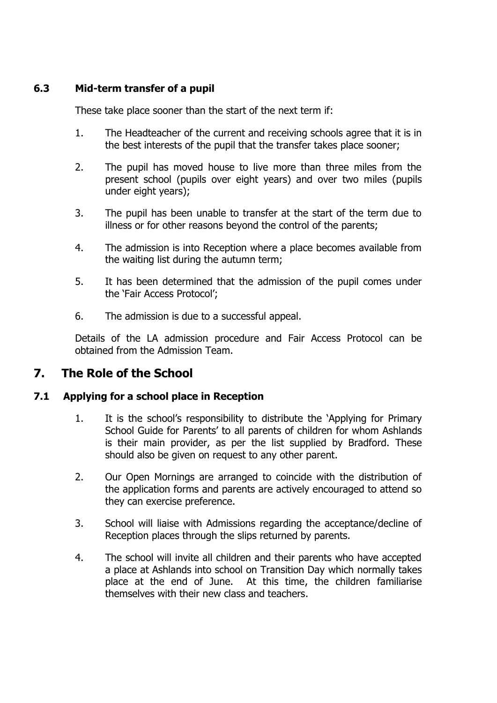### **6.3 Mid-term transfer of a pupil**

These take place sooner than the start of the next term if:

- 1. The Headteacher of the current and receiving schools agree that it is in the best interests of the pupil that the transfer takes place sooner;
- 2. The pupil has moved house to live more than three miles from the present school (pupils over eight years) and over two miles (pupils under eight years);
- 3. The pupil has been unable to transfer at the start of the term due to illness or for other reasons beyond the control of the parents;
- 4. The admission is into Reception where a place becomes available from the waiting list during the autumn term;
- 5. It has been determined that the admission of the pupil comes under the 'Fair Access Protocol';
- 6. The admission is due to a successful appeal.

Details of the LA admission procedure and Fair Access Protocol can be obtained from the Admission Team.

## **7. The Role of the School**

#### **7.1 Applying for a school place in Reception**

- 1. It is the school's responsibility to distribute the 'Applying for Primary School Guide for Parents' to all parents of children for whom Ashlands is their main provider, as per the list supplied by Bradford. These should also be given on request to any other parent.
- 2. Our Open Mornings are arranged to coincide with the distribution of the application forms and parents are actively encouraged to attend so they can exercise preference.
- 3. School will liaise with Admissions regarding the acceptance/decline of Reception places through the slips returned by parents.
- 4. The school will invite all children and their parents who have accepted a place at Ashlands into school on Transition Day which normally takes place at the end of June. At this time, the children familiarise themselves with their new class and teachers.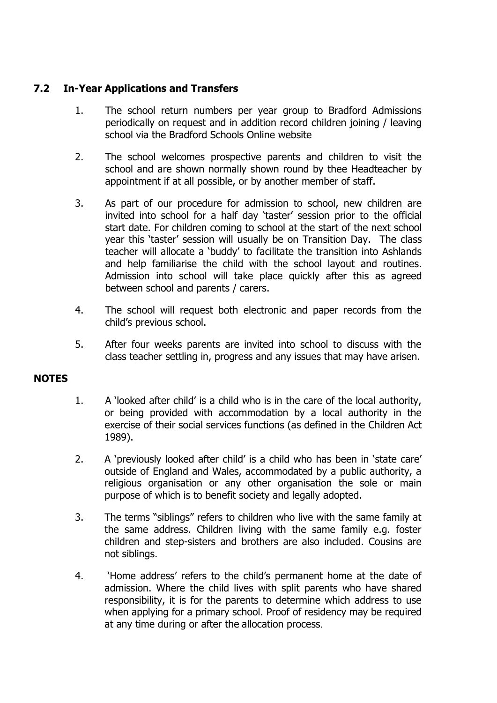### **7.2 In-Year Applications and Transfers**

- 1. The school return numbers per year group to Bradford Admissions periodically on request and in addition record children joining / leaving school via the Bradford Schools Online website
- 2. The school welcomes prospective parents and children to visit the school and are shown normally shown round by thee Headteacher by appointment if at all possible, or by another member of staff.
- 3. As part of our procedure for admission to school, new children are invited into school for a half day 'taster' session prior to the official start date. For children coming to school at the start of the next school year this 'taster' session will usually be on Transition Day. The class teacher will allocate a 'buddy' to facilitate the transition into Ashlands and help familiarise the child with the school layout and routines. Admission into school will take place quickly after this as agreed between school and parents / carers.
- 4. The school will request both electronic and paper records from the child's previous school.
- 5. After four weeks parents are invited into school to discuss with the class teacher settling in, progress and any issues that may have arisen.

#### **NOTES**

- 1. A 'looked after child' is a child who is in the care of the local authority, or being provided with accommodation by a local authority in the exercise of their social services functions (as defined in the Children Act 1989).
- 2. A 'previously looked after child' is a child who has been in 'state care' outside of England and Wales, accommodated by a public authority, a religious organisation or any other organisation the sole or main purpose of which is to benefit society and legally adopted.
- 3. The terms "siblings" refers to children who live with the same family at the same address. Children living with the same family e.g. foster children and step-sisters and brothers are also included. Cousins are not siblings.
- 4. 'Home address' refers to the child's permanent home at the date of admission. Where the child lives with split parents who have shared responsibility, it is for the parents to determine which address to use when applying for a primary school. Proof of residency may be required at any time during or after the allocation process.